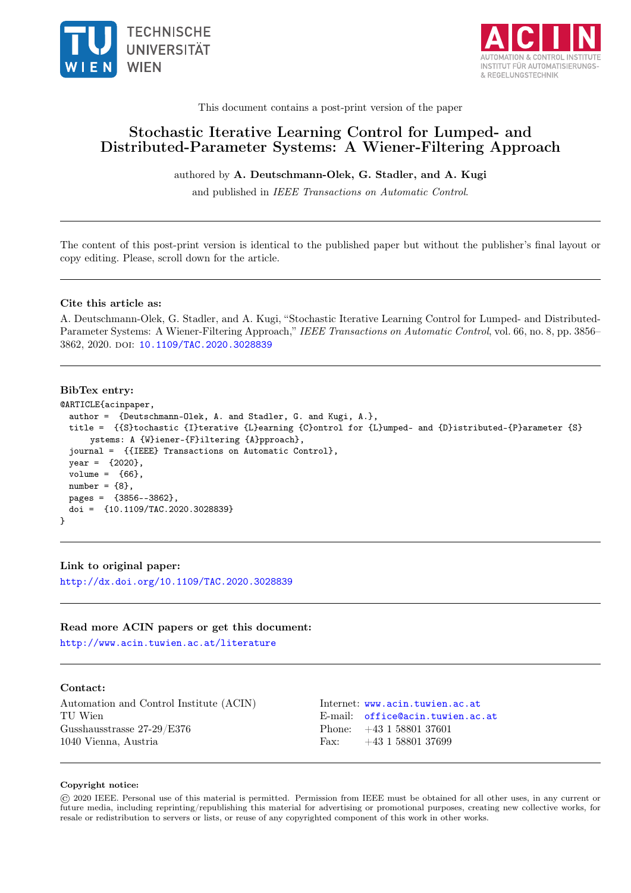



This document contains a post-print version of the paper

## Stochastic Iterative Learning Control for Lumped- and Distributed-Parameter Systems: A Wiener-Filtering Approach

## authored by A. Deutschmann-Olek, G. Stadler, and A. Kugi

and published in IEEE Transactions on Automatic Control.

The content of this post-print version is identical to the published paper but without the publisher's final layout or copy editing. Please, scroll down for the article.

## Cite this article as:

A. Deutschmann-Olek, G. Stadler, and A. Kugi, "Stochastic Iterative Learning Control for Lumped- and Distributed-Parameter Systems: A Wiener-Filtering Approach," IEEE Transactions on Automatic Control, vol. 66, no. 8, pp. 3856– 3862, 2020. doi: [10.1109/TAC.2020.3028839](https://doi.org/10.1109/TAC.2020.3028839)

## BibTex entry:

```
@ARTICLE{acinpaper,
  author = {Deutschmann-Olek, A. and Stadler, G. and Kugi, A.},
 title = {{S}tochastic {I}terative {L}earning {C}ontrol for {L}umped- and {D}istributed-{P}arameter {S}
      ystems: A {W}iener-{F}iltering {A}pproach},
  journal = {{IEEE} Transactions on Automatic Control},
  year = {2020},
 volume = {66},
 number = {8},pages = {3856--3862},
 doi = {10.1109/TAC.2020.3028839}
}
```
## Link to original paper:

<http://dx.doi.org/10.1109/TAC.2020.3028839>

#### Read more ACIN papers or get this document:

<http://www.acin.tuwien.ac.at/literature>

## Contact:

Automation and Control Institute (ACIN) Internet: <www.acin.tuwien.ac.at> TU Wien **E-mail:** [office@acin.tuwien.ac.at](mailto:office@acin.tuwien.ac.at) Gusshausstrasse 27-29/E376 Phone: +43 1 58801 37601 1040 Vienna, Austria Fax: +43 1 58801 37699

## Copyright notice:

© 2020 IEEE. Personal use of this material is permitted. Permission from IEEE must be obtained for all other uses, in any current or future media, including reprinting/republishing this material for advertising or promotional purposes, creating new collective works, for resale or redistribution to servers or lists, or reuse of any copyrighted component of this work in other works.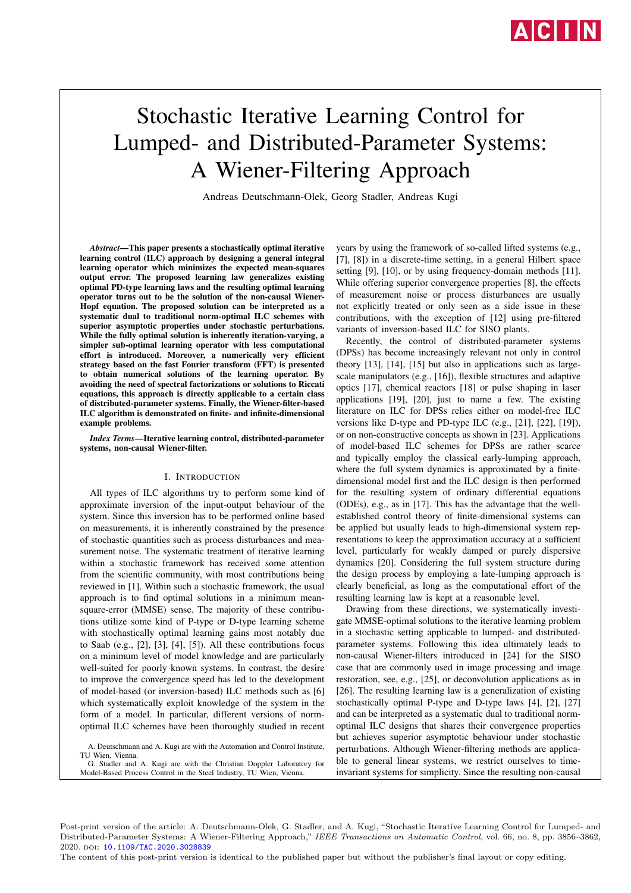

# Stochastic Iterative Learning Control for Lumped- and Distributed-Parameter Systems: A Wiener-Filtering Approach

Andreas Deutschmann-Olek, Georg Stadler, Andreas Kugi

*Abstract*—This paper presents a stochastically optimal iterative learning control (ILC) approach by designing a general integral learning operator which minimizes the expected mean-squares output error. The proposed learning law generalizes existing optimal PD-type learning laws and the resulting optimal learning operator turns out to be the solution of the non-causal Wiener-Hopf equation. The proposed solution can be interpreted as a systematic dual to traditional norm-optimal ILC schemes with superior asymptotic properties under stochastic perturbations. While the fully optimal solution is inherently iteration-varying, a simpler sub-optimal learning operator with less computational effort is introduced. Moreover, a numerically very efficient strategy based on the fast Fourier transform (FFT) is presented to obtain numerical solutions of the learning operator. By avoiding the need of spectral factorizations or solutions to Riccati equations, this approach is directly applicable to a certain class of distributed-parameter systems. Finally, the Wiener-filter-based ILC algorithm is demonstrated on finite- and infinite-dimensional example problems.

*Index Terms*—Iterative learning control, distributed-parameter systems, non-causal Wiener-filter.

#### I. INTRODUCTION

All types of ILC algorithms try to perform some kind of approximate inversion of the input-output behaviour of the system. Since this inversion has to be performed online based on measurements, it is inherently constrained by the presence of stochastic quantities such as process disturbances and measurement noise. The systematic treatment of iterative learning within a stochastic framework has received some attention from the scientific community, with most contributions being reviewed in [1]. Within such a stochastic framework, the usual approach is to find optimal solutions in a minimum meansquare-error (MMSE) sense. The majority of these contributions utilize some kind of P-type or D-type learning scheme with stochastically optimal learning gains most notably due to Saab (e.g., [2], [3], [4], [5]). All these contributions focus on a minimum level of model knowledge and are particularly well-suited for poorly known systems. In contrast, the desire to improve the convergence speed has led to the development of model-based (or inversion-based) ILC methods such as [6] which systematically exploit knowledge of the system in the form of a model. In particular, different versions of normoptimal ILC schemes have been thoroughly studied in recent

A. Deutschmann and A. Kugi are with the Automation and Control Institute, TU Wien, Vienna

G. Stadler and A. Kugi are with the Christian Doppler Laboratory for Model-Based Process Control in the Steel Industry, TU Wien, Vienna.

years by using the framework of so-called lifted systems (e.g., [7], [8]) in a discrete-time setting, in a general Hilbert space setting [9], [10], or by using frequency-domain methods [11]. While offering superior convergence properties [8], the effects of measurement noise or process disturbances are usually not explicitly treated or only seen as a side issue in these contributions, with the exception of [12] using pre-filtered variants of inversion-based ILC for SISO plants.

Recently, the control of distributed-parameter systems (DPSs) has become increasingly relevant not only in control theory [13], [14], [15] but also in applications such as largescale manipulators (e.g., [16]), flexible structures and adaptive optics [17], chemical reactors [18] or pulse shaping in laser applications [19], [20], just to name a few. The existing literature on ILC for DPSs relies either on model-free ILC versions like D-type and PD-type ILC (e.g., [21], [22], [19]), or on non-constructive concepts as shown in [23]. Applications of model-based ILC schemes for DPSs are rather scarce and typically employ the classical early-lumping approach, where the full system dynamics is approximated by a finitedimensional model first and the ILC design is then performed for the resulting system of ordinary differential equations (ODEs), e.g., as in [17]. This has the advantage that the wellestablished control theory of finite-dimensional systems can be applied but usually leads to high-dimensional system representations to keep the approximation accuracy at a sufficient level, particularly for weakly damped or purely dispersive dynamics [20]. Considering the full system structure during the design process by employing a late-lumping approach is clearly beneficial, as long as the computational effort of the resulting learning law is kept at a reasonable level.

Drawing from these directions, we systematically investigate MMSE-optimal solutions to the iterative learning problem in a stochastic setting applicable to lumped- and distributedparameter systems. Following this idea ultimately leads to non-causal Wiener-filters introduced in [24] for the SISO case that are commonly used in image processing and image restoration, see, e.g., [25], or deconvolution applications as in [26]. The resulting learning law is a generalization of existing stochastically optimal P-type and D-type laws [4], [2], [27] and can be interpreted as a systematic dual to traditional normoptimal ILC designs that shares their convergence properties but achieves superior asymptotic behaviour under stochastic perturbations. Although Wiener-filtering methods are applicable to general linear systems, we restrict ourselves to timeinvariant systems for simplicity. Since the resulting non-causal

Post-print version of the article: A. Deutschmann-Olek, G. Stadler, and A. Kugi, "Stochastic Iterative Learning Control for Lumped- and Distributed-Parameter Systems: A Wiener-Filtering Approach," IEEE Transactions on Automatic Control, vol. 66, no. 8, pp. 3856–3862, 2020. doi: [10.1109/TAC.2020.3028839](https://doi.org/10.1109/TAC.2020.3028839)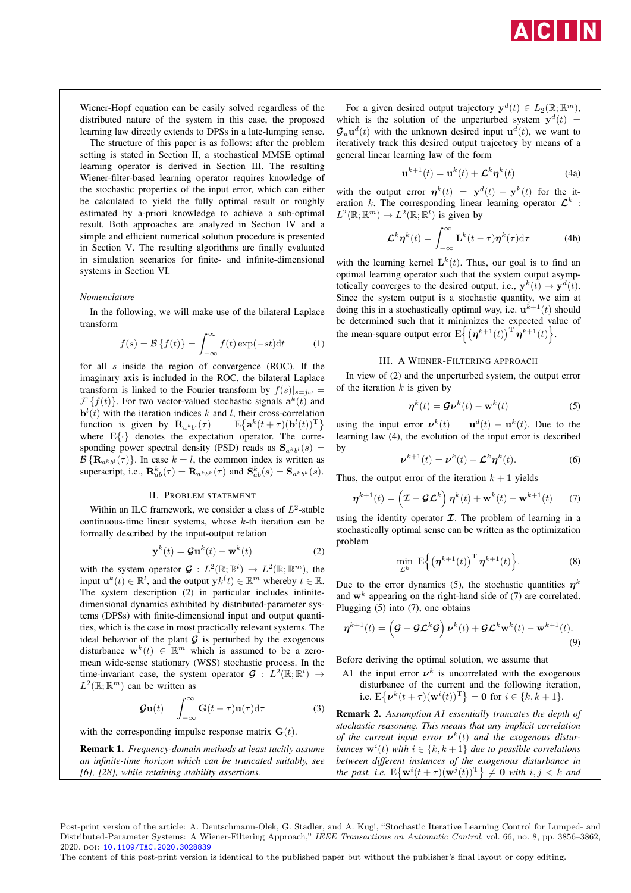

Wiener-Hopf equation can be easily solved regardless of the distributed nature of the system in this case, the proposed learning law directly extends to DPSs in a late-lumping sense.

The structure of this paper is as follows: after the problem setting is stated in Section II, a stochastical MMSE optimal learning operator is derived in Section III. The resulting Wiener-filter-based learning operator requires knowledge of the stochastic properties of the input error, which can either be calculated to yield the fully optimal result or roughly estimated by a-priori knowledge to achieve a sub-optimal result. Both approaches are analyzed in Section IV and a simple and efficient numerical solution procedure is presented in Section V. The resulting algorithms are finally evaluated in simulation scenarios for finite- and infinite-dimensional systems in Section VI.

## *Nomenclature*

In the following, we will make use of the bilateral Laplace transform

$$
f(s) = \mathcal{B}\left\{f(t)\right\} = \int_{-\infty}^{\infty} f(t) \exp(-st) \mathrm{d}t \tag{1}
$$

for all  $s$  inside the region of convergence (ROC). If the imaginary axis is included in the ROC, the bilateral Laplace transform is linked to the Fourier transform by  $f(s)|_{s=i\omega}$  =  $\mathcal{F}\{f(t)\}\$ . For two vector-valued stochastic signals  $\mathbf{a}^k(t)$  and  $\mathbf{b}^{l}(t)$  with the iteration indices k and l, their cross-correlation function is given by  $\mathbf{R}_{a^kb^l}(\tau) = \mathbb{E}\big\{\mathbf{a}^k(t+\tau)(\mathbf{b}^l(t))^{\mathrm{T}}\big\}$ where  $E\{\cdot\}$  denotes the expectation operator. The corresponding power spectral density (PSD) reads as  $S_{a^kb^l}(s) =$  $\mathcal{B}\left\{\mathbf{R}_{a^kb^l}(\tau)\right\}$ . In case  $k = l$ , the common index is written as superscript, i.e.,  $\mathbf{R}_{ab}^k(\tau) = \mathbf{R}_{a^k b^k}(\tau)$  and  $\mathbf{S}_{ab}^k(s) = \mathbf{S}_{a^k b^k}(s)$ .

## II. PROBLEM STATEMENT

Within an ILC framework, we consider a class of  $L^2$ -stable continuous-time linear systems, whose k-th iteration can be formally described by the input-output relation

$$
\mathbf{y}^{k}(t) = \mathcal{G}\mathbf{u}^{k}(t) + \mathbf{w}^{k}(t)
$$
 (2)

with the system operator  $\mathcal{G}: L^2(\mathbb{R}; \mathbb{R}^l) \to L^2(\mathbb{R}; \mathbb{R}^m)$ , the input  $\mathbf{u}^{k}(t) \in \mathbb{R}^{l}$ , and the output  $\mathbf{y}k^{t}(t) \in \mathbb{R}^{m}$  whereby  $t \in \mathbb{R}$ . The system description (2) in particular includes infinitedimensional dynamics exhibited by distributed-parameter systems (DPSs) with finite-dimensional input and output quantities, which is the case in most practically relevant systems. The ideal behavior of the plant  $G$  is perturbed by the exogenous disturbance  $\mathbf{w}^k(t) \in \mathbb{R}^m$  which is assumed to be a zeromean wide-sense stationary (WSS) stochastic process. In the time-invariant case, the system operator  $\mathcal{G}: L^2(\mathbb{R}; \mathbb{R}^l) \to$  $L^2(\mathbb{R}; \mathbb{R}^m)$  can be written as

$$
\mathbf{G}\mathbf{u}(t) = \int_{-\infty}^{\infty} \mathbf{G}(t-\tau)\mathbf{u}(\tau) d\tau
$$
 (3)

with the corresponding impulse response matrix  $G(t)$ .

Remark 1. *Frequency-domain methods at least tacitly assume an infinite-time horizon which can be truncated suitably, see [6], [28], while retaining stability assertions.*

For a given desired output trajectory  $y^d(t) \in L_2(\mathbb{R}; \mathbb{R}^m)$ , which is the solution of the unperturbed system  $y^d(t)$  =  $\mathbf{G}_{u} \mathbf{u}^{d}(t)$  with the unknown desired input  $\mathbf{u}^{d}(t)$ , we want to iteratively track this desired output trajectory by means of a general linear learning law of the form

$$
\mathbf{u}^{k+1}(t) = \mathbf{u}^k(t) + \mathcal{L}^k \eta^k(t)
$$
 (4a)

with the output error  $\mathbf{\eta}^k(t) = \mathbf{y}^d(t) - \mathbf{y}^k(t)$  for the iteration k. The corresponding linear learning operator  $\mathcal{L}^k$ :  $L^2(\mathbb{R}; \mathbb{R}^m) \to L^2(\mathbb{R}; \mathbb{R}^l)$  is given by

$$
\mathcal{L}^k \boldsymbol{\eta}^k(t) = \int_{-\infty}^{\infty} \mathbf{L}^k(t-\tau) \boldsymbol{\eta}^k(\tau) d\tau
$$
 (4b)

with the learning kernel  $L^k(t)$ . Thus, our goal is to find an optimal learning operator such that the system output asymptotically converges to the desired output, i.e.,  $y^k(t) \rightarrow y^d(t)$ . Since the system output is a stochastic quantity, we aim at doing this in a stochastically optimal way, i.e.  $\mathbf{u}^{k+1}(t)$  should be determined such that it minimizes the expected value of the mean-square output error  $E\left\{(\boldsymbol{\eta}^{k+1}(t))^{\mathrm{T}}\boldsymbol{\eta}^{k+1}(t)\right\}$ .

#### III. A WIENER-FILTERING APPROACH

In view of (2) and the unperturbed system, the output error of the iteration  $k$  is given by

$$
\boldsymbol{\eta}^k(t) = \mathcal{G}\boldsymbol{\nu}^k(t) - \mathbf{w}^k(t) \tag{5}
$$

using the input error  $v^k(t) = \mathbf{u}^d(t) - \mathbf{u}^k(t)$ . Due to the learning law (4), the evolution of the input error is described by

$$
\boldsymbol{\nu}^{k+1}(t) = \boldsymbol{\nu}^k(t) - \boldsymbol{\mathcal{L}}^k \boldsymbol{\eta}^k(t). \tag{6}
$$

Thus, the output error of the iteration  $k + 1$  yields

$$
\boldsymbol{\eta}^{k+1}(t) = \left(\mathcal{I} - \mathcal{GL}^k\right)\boldsymbol{\eta}^k(t) + \mathbf{w}^k(t) - \mathbf{w}^{k+1}(t) \qquad (7)
$$

using the identity operator  $\mathcal I$ . The problem of learning in a stochastically optimal sense can be written as the optimization problem

$$
\min_{\mathcal{L}^k} \ \mathbf{E}\Big\{\big(\boldsymbol{\eta}^{k+1}(t)\big)^{\mathrm{T}}\,\boldsymbol{\eta}^{k+1}(t)\Big\}.\tag{8}
$$

Due to the error dynamics (5), the stochastic quantities  $\eta^k$ and  $\mathbf{w}^{k}$  appearing on the right-hand side of (7) are correlated. Plugging (5) into (7), one obtains

$$
\boldsymbol{\eta}^{k+1}(t) = \left(\mathcal{G} - \mathcal{G}\mathcal{L}^k\mathcal{G}\right)\boldsymbol{\nu}^k(t) + \mathcal{G}\mathcal{L}^k\mathbf{w}^k(t) - \mathbf{w}^{k+1}(t). \tag{9}
$$

Before deriving the optimal solution, we assume that

A1 the input error  $v^k$  is uncorrelated with the exogenous disturbance of the current and the following iteration, i.e.  $E\{\boldsymbol{\nu}^k(t+\tau)(\mathbf{w}^i(t))^T\} = \mathbf{0}$  for  $i \in \{k, k+1\}$ .

Remark 2. *Assumption A1 essentially truncates the depth of stochastic reasoning. This means that any implicit correlation of the current input error*  $v^k(t)$  *and the exogenous disturbances*  $\mathbf{w}^i(t)$  *with*  $i \in \{k, k+1\}$  *due to possible correlations between different instances of the exogenous disturbance in the past, i.e.*  $E\{\mathbf{w}^i(t+\tau)(\mathbf{w}^j(t))^T\} \neq \mathbf{0}$  *with*  $i, j < k$  *and* 

Post-print version of the article: A. Deutschmann-Olek, G. Stadler, and A. Kugi, "Stochastic Iterative Learning Control for Lumped- and Distributed-Parameter Systems: A Wiener-Filtering Approach," IEEE Transactions on Automatic Control, vol. 66, no. 8, pp. 3856–3862, 2020. doi: [10.1109/TAC.2020.3028839](https://doi.org/10.1109/TAC.2020.3028839)

The content of this post-print version is identical to the published paper but without the publisher's final layout or copy editing.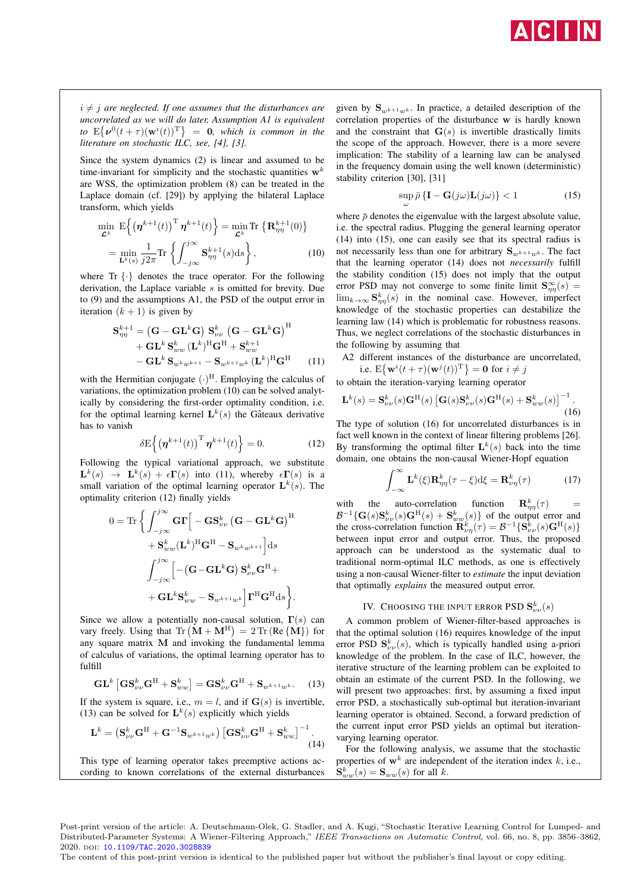

 $i \neq j$  are neglected. If one assumes that the disturbances are *uncorrelated as we will do later, Assumption A1 is equivalent*  $\int$ *to*  $E\{\nu^{0}(t+\tau)(\mathbf{w}^{i}(t))^{\mathrm{T}}\}$  = 0*, which is common in the literature on stochastic ILC, see, [4], [3].*

Since the system dynamics (2) is linear and assumed to be time-invariant for simplicity and the stochastic quantities  $w<sup>k</sup>$ are WSS, the optimization problem (8) can be treated in the Laplace domain (cf. [29]) by applying the bilateral Laplace transform, which yields

$$
\min_{\mathcal{L}^k} \mathbf{E} \Big\{ \big(\boldsymbol{\eta}^{k+1}(t)\big)^{\mathrm{T}} \boldsymbol{\eta}^{k+1}(t) \Big\} = \min_{\mathcal{L}^k} \mathrm{Tr} \, \big\{ \mathbf{R}_{\eta\eta}^{k+1}(0) \big\}
$$
\n
$$
= \min_{\mathbf{L}^k(s)} \frac{1}{j2\pi} \mathrm{Tr} \left\{ \int_{-j\infty}^{j\infty} \mathbf{S}_{\eta\eta}^{k+1}(s) \mathrm{d}s \right\},\tag{10}
$$

where  $\text{Tr} \{\cdot\}$  denotes the trace operator. For the following derivation, the Laplace variable s is omitted for brevity. Due to (9) and the assumptions A1, the PSD of the output error in iteration  $(k + 1)$  is given by

$$
S_{\eta\eta}^{k+1} = (\mathbf{G} - \mathbf{GL}^k \mathbf{G}) S_{\nu\nu}^k (\mathbf{G} - \mathbf{GL}^k \mathbf{G})^H + \mathbf{GL}^k S_{ww}^k (\mathbf{L}^k)^H \mathbf{G}^H + S_{ww}^{k+1} - \mathbf{GL}^k S_{w^k w^{k+1}} - S_{w^{k+1} w^k} (\mathbf{L}^k)^H \mathbf{G}^H
$$
(11)

with the Hermitian conjugate  $(\cdot)^H$ . Employing the calculus of variations, the optimization problem (10) can be solved analytically by considering the first-order optimality condition, i.e. for the optimal learning kernel  $L^k(s)$  the Gâteaux derivative has to vanish

$$
\delta \mathbf{E} \left\{ \left( \boldsymbol{\eta}^{k+1}(t) \right)^{\mathrm{T}} \boldsymbol{\eta}^{k+1}(t) \right\} = 0. \tag{12}
$$

Following the typical variational approach, we substitute  $\mathbf{L}^{k}(s) \rightarrow \mathbf{L}^{k}(s) + \epsilon \mathbf{\Gamma}(s)$  into (11), whereby  $\epsilon \mathbf{\Gamma}(s)$  is a small variation of the optimal learning operator  $\mathbf{L}^k(s)$ . The optimality criterion (12) finally yields

$$
\begin{aligned} 0 = \text{Tr}\,\bigg\{\int_{-j\infty}^{j\infty}\mathbf{G}\boldsymbol{\Gamma}\Big[-\mathbf{G}\mathbf{S}_{\nu\nu}^{k}\left(\mathbf{G}-\mathbf{G}\mathbf{L}^{k}\mathbf{G}\right)^{\text{H}} \\ +\mathbf{S}_{ww}^{k}(\mathbf{L}^{k})^{\text{H}}\mathbf{G}^{\text{H}}-\mathbf{S}_{w^{k}w^{k+1}}\Big]\mathrm{d}s \\ \int_{-j\infty}^{j\infty}\Big[-\left(\mathbf{G}-\mathbf{G}\mathbf{L}^{k}\mathbf{G}\right)\mathbf{S}_{\nu\nu}^{k}\mathbf{G}^{\text{H}}+ \\ +\mathbf{G}\mathbf{L}^{k}\mathbf{S}_{ww}^{k}-\mathbf{S}_{w^{k+1}w^{k}}\Big]\boldsymbol{\Gamma}^{\text{H}}\mathbf{G}^{\text{H}}\mathrm{d}s \bigg\}.\end{aligned}
$$

Since we allow a potentially non-causal solution,  $\Gamma(s)$  can vary freely. Using that  $\text{Tr} (\mathbf{M} + \mathbf{M}^{\text{H}}) = 2 \text{Tr} (\text{Re} {\{\mathbf{M}\}})$  for any square matrix M and invoking the fundamental lemma of calculus of variations, the optimal learning operator has to fulfill

$$
\mathbf{GL}^{k}\left[\mathbf{G}\mathbf{S}_{\nu\nu}^{k}\mathbf{G}^{\mathrm{H}}+\mathbf{S}_{ww}^{k}\right]=\mathbf{G}\mathbf{S}_{\nu\nu}^{k}\mathbf{G}^{\mathrm{H}}+\mathbf{S}_{w^{k+1}w^{k}}.\quad(13)
$$

If the system is square, i.e.,  $m = l$ , and if  $\mathbf{G}(s)$  is invertible, (13) can be solved for  $\mathbf{L}^k(s)$  explicitly which yields

$$
\mathbf{L}^{k} = \left(\mathbf{S}_{\nu\nu}^{k}\mathbf{G}^{\mathrm{H}} + \mathbf{G}^{-1}\mathbf{S}_{w^{k+1}w^{k}}\right) \left[\mathbf{G}\mathbf{S}_{\nu\nu}^{k}\mathbf{G}^{\mathrm{H}} + \mathbf{S}_{ww}^{k}\right]^{-1}.
$$
\n(14)

This type of learning operator takes preemptive actions according to known correlations of the external disturbances given by  ${\bf S}_{w^{k+1}w^k}$ . In practice, a detailed description of the correlation properties of the disturbance w is hardly known and the constraint that  $\mathbf{G}(s)$  is invertible drastically limits the scope of the approach. However, there is a more severe implication: The stability of a learning law can be analysed in the frequency domain using the well known (deterministic) stability criterion [30], [31]

$$
\sup_{\omega} \bar{\rho} \left\{ \mathbf{I} - \mathbf{G}(j\omega) \mathbf{L}(j\omega) \right\} < 1 \tag{15}
$$

where  $\bar{\rho}$  denotes the eigenvalue with the largest absolute value, i.e. the spectral radius. Plugging the general learning operator (14) into (15), one can easily see that its spectral radius is not necessarily less than one for arbitrary  $S_{w^{k+1}w^k}$ . The fact that the learning operator (14) does not *necessarily* fulfill the stability condition (15) does not imply that the output error PSD may not converge to some finite limit  $S_{\eta\eta}^{\infty}(s) =$  $\lim_{k\to\infty} \mathbf{S}_{\eta\eta}^k(s)$  in the nominal case. However, imperfect knowledge of the stochastic properties can destabilize the learning law (14) which is problematic for robustness reasons. Thus, we neglect correlations of the stochastic disturbances in the following by assuming that

A2 different instances of the disturbance are uncorrelated, i.e.  $E\{\mathbf{w}^i(t+\tau)(\mathbf{w}^j(t))^T\} = \mathbf{0}$  for  $i \neq j$ 

to obtain the iteration-varying learning operator

$$
\mathbf{L}^{k}(s) = \mathbf{S}^{k}_{\nu\nu}(s)\mathbf{G}^{\mathrm{H}}(s) \left[\mathbf{G}(s)\mathbf{S}^{k}_{\nu\nu}(s)\mathbf{G}^{\mathrm{H}}(s) + \mathbf{S}^{k}_{ww}(s)\right]^{-1}.
$$
\n(16)

The type of solution (16) for uncorrelated disturbances is in fact well known in the context of linear filtering problems [26]. By transforming the optimal filter  $\mathbf{L}^k(s)$  back into the time domain, one obtains the non-causal Wiener-Hopf equation

$$
\int_{-\infty}^{\infty} \mathbf{L}^{k}(\xi) \mathbf{R}_{\eta\eta}^{k}(\tau - \xi) d\xi = \mathbf{R}_{\nu\eta}^{k}(\tau)
$$
 (17)

with the auto-correlation function  $\mathbf{R}_{\eta\eta}^{k}(\tau)$  $\mathcal{B}^{-1}\{\mathbf{G}(s)\mathbf{S}_{\nu\nu}^k(s)\mathbf{G}^{\mathrm{H}}(s)+\mathbf{S}_{ww}^k(s)\}\$  of the output error and the cross-correlation function  $\mathbf{R}_{\nu\eta}^k(\tau) = \mathcal{B}^{-1}\{\mathbf{S}_{\nu\nu}^k(s)\mathbf{G}^{\mathrm{H}}(s)\}\$ between input error and output error. Thus, the proposed approach can be understood as the systematic dual to traditional norm-optimal ILC methods, as one is effectively using a non-causal Wiener-filter to *estimate* the input deviation that optimally *explains* the measured output error.

## IV. CHOOSING THE INPUT ERROR PSD  $\mathbf{S}_{\nu\nu}^k(s)$

A common problem of Wiener-filter-based approaches is that the optimal solution (16) requires knowledge of the input error PSD  $\mathbf{S}_{\nu\nu}^{k}(s)$ , which is typically handled using a-priori knowledge of the problem. In the case of ILC, however, the iterative structure of the learning problem can be exploited to obtain an estimate of the current PSD. In the following, we will present two approaches: first, by assuming a fixed input error PSD, a stochastically sub-optimal but iteration-invariant learning operator is obtained. Second, a forward prediction of the current input error PSD yields an optimal but iterationvarying learning operator.

For the following analysis, we assume that the stochastic properties of  $w^k$  are independent of the iteration index k, i.e.,  $\mathbf{S}_{ww}^k(s) = \mathbf{S}_{ww}(s)$  for all k.

Post-print version of the article: A. Deutschmann-Olek, G. Stadler, and A. Kugi, "Stochastic Iterative Learning Control for Lumped- and Distributed-Parameter Systems: A Wiener-Filtering Approach," IEEE Transactions on Automatic Control, vol. 66, no. 8, pp. 3856–3862, 2020. doi: [10.1109/TAC.2020.3028839](https://doi.org/10.1109/TAC.2020.3028839)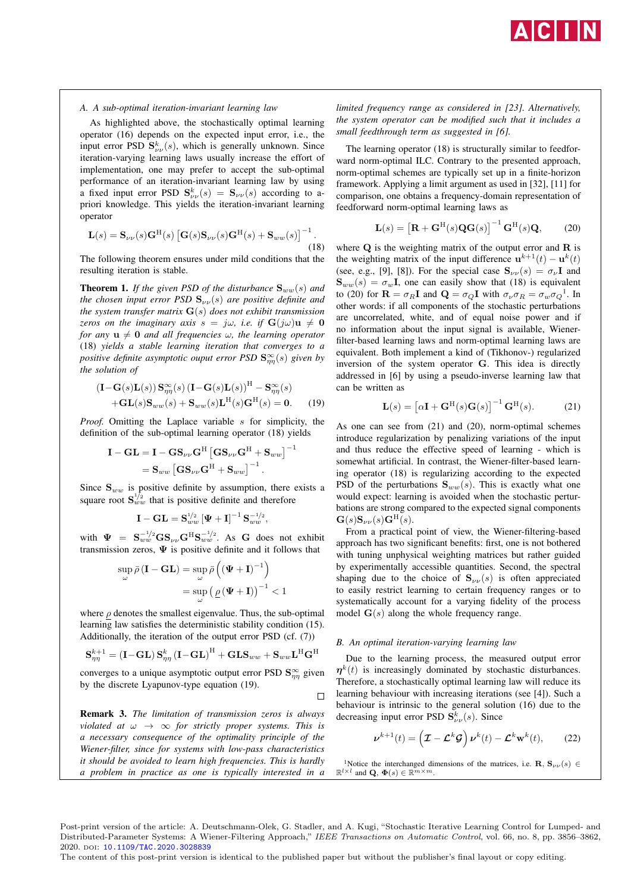

#### *A. A sub-optimal iteration-invariant learning law*

As highlighted above, the stochastically optimal learning operator (16) depends on the expected input error, i.e., the input error PSD  $S_{\nu\nu}^{k}(s)$ , which is generally unknown. Since iteration-varying learning laws usually increase the effort of implementation, one may prefer to accept the sub-optimal performance of an iteration-invariant learning law by using a fixed input error PSD  $S_{\nu\nu}^k(s) = S_{\nu\nu}(s)$  according to apriori knowledge. This yields the iteration-invariant learning operator

$$
\mathbf{L}(s) = \mathbf{S}_{\nu\nu}(s)\mathbf{G}^{\mathrm{H}}(s) \left[\mathbf{G}(s)\mathbf{S}_{\nu\nu}(s)\mathbf{G}^{\mathrm{H}}(s) + \mathbf{S}_{ww}(s)\right]^{-1}.
$$
\n(18)

The following theorem ensures under mild conditions that the resulting iteration is stable.

**Theorem 1.** If the given PSD of the disturbance  $S_{ww}(s)$  and *the chosen input error PSD*  $S_{\nu\nu}(s)$  *are positive definite and the system transfer matrix* G(s) *does not exhibit transmission zeros on the imaginary axis*  $s = j\omega$ , *i.e.* if  $G(j\omega)u \neq 0$ *for any*  $\mathbf{u} \neq \mathbf{0}$  *and all frequencies*  $\omega$ *, the learning operator* (18) *yields a stable learning iteration that converges to a positive definite asymptotic ouput error PSD* S<sup>∞</sup> ηη(s) *given by the solution of*

$$
\begin{aligned} \left(\mathbf{I} - \mathbf{G}(s)\mathbf{L}(s)\right) \mathbf{S}_{\eta\eta}^{\infty}(s) \left(\mathbf{I} - \mathbf{G}(s)\mathbf{L}(s)\right)^{\mathrm{H}} & - \mathbf{S}_{\eta\eta}^{\infty}(s) \\ & + \mathbf{G}\mathbf{L}(s)\mathbf{S}_{ww}(s) + \mathbf{S}_{ww}(s)\mathbf{L}^{\mathrm{H}}(s)\mathbf{G}^{\mathrm{H}}(s) = \mathbf{0}. \end{aligned} \tag{19}
$$

*Proof.* Omitting the Laplace variable s for simplicity, the definition of the sub-optimal learning operator (18) yields

$$
\begin{aligned} \mathbf{I}-\mathbf{G}\mathbf{L} &= \mathbf{I}-\mathbf{G}\mathbf{S}_{\nu\nu}\mathbf{G}^{\mathrm{H}}\left[\mathbf{G}\mathbf{S}_{\nu\nu}\mathbf{G}^{\mathrm{H}}+\mathbf{S}_{ww}\right]^{-1} \\ &= \mathbf{S}_{ww}\left[\mathbf{G}\mathbf{S}_{\nu\nu}\mathbf{G}^{\mathrm{H}}+\mathbf{S}_{ww}\right]^{-1}. \end{aligned}
$$

Since  $S_{ww}$  is positive definite by assumption, there exists a square root  $S_{ww}^{1/2}$  that is positive definite and therefore

$$
\mathbf{I}-\mathbf{GL}=\mathbf{S}_{ww}^{1/2}\left[\mathbf{\Psi}+\mathbf{I}\right]^{-1}\mathbf{S}_{ww}^{-1/2},
$$

with  $\Psi = S_{ww}^{-1/2}GS_{\nu\nu}G^{H}S_{ww}^{-1/2}$ . As G does not exhibit transmission zeros,  $\Psi$  is positive definite and it follows that

$$
\sup_{\omega} \bar{\rho} (\mathbf{I} - \mathbf{GL}) = \sup_{\omega} \bar{\rho} \left( (\mathbf{\Psi} + \mathbf{I})^{-1} \right)
$$

$$
= \sup_{\omega} \left( \underline{\rho} (\mathbf{\Psi} + \mathbf{I}) \right)^{-1} < 1
$$

where  $\rho$  denotes the smallest eigenvalue. Thus, the sub-optimal learning law satisfies the deterministic stability condition (15). Additionally, the iteration of the output error PSD (cf. (7))

$$
\mathbf{S}_{\eta\eta}^{k+1}=\left(\mathbf{I}-\mathbf{G}\mathbf{L}\right)\mathbf{S}_{\eta\eta}^{k}\left(\mathbf{I}-\mathbf{G}\mathbf{L}\right)^{\mathrm{H}}+\mathbf{G}\mathbf{L}\mathbf{S}_{ww}+\mathbf{S}_{ww}\mathbf{L}^{\mathrm{H}}\mathbf{G}^{\mathrm{H}}
$$

converges to a unique asymptotic output error PSD  $\mathbf{S}_{\eta\eta}^{\infty}$  given by the discrete Lyapunov-type equation (19).

Remark 3. *The limitation of transmission zeros is always violated at*  $\omega \rightarrow \infty$  *for strictly proper systems. This is a necessary consequence of the optimality principle of the Wiener-filter, since for systems with low-pass characteristics it should be avoided to learn high frequencies. This is hardly a problem in practice as one is typically interested in a* *limited frequency range as considered in [23]. Alternatively, the system operator can be modified such that it includes a small feedthrough term as suggested in [6].*

The learning operator (18) is structurally similar to feedforward norm-optimal ILC. Contrary to the presented approach, norm-optimal schemes are typically set up in a finite-horizon framework. Applying a limit argument as used in [32], [11] for comparison, one obtains a frequency-domain representation of feedforward norm-optimal learning laws as

$$
\mathbf{L}(s) = \left[\mathbf{R} + \mathbf{G}^{\mathrm{H}}(s)\mathbf{Q}\mathbf{G}(s)\right]^{-1} \mathbf{G}^{\mathrm{H}}(s)\mathbf{Q},\qquad(20)
$$

where  $Q$  is the weighting matrix of the output error and  $R$  is the weighting matrix of the input difference  $\mathbf{u}^{k+1}(t) - \mathbf{u}^k(t)$ (see, e.g., [9], [8]). For the special case  $S_{\nu\nu}(s) = \sigma_{\nu}I$  and  $S_{ww}(s) = \sigma_w I$ , one can easily show that (18) is equivalent to (20) for  $\mathbf{R} = \sigma_R \mathbf{I}$  and  $\mathbf{Q} = \sigma_Q \mathbf{I}$  with  $\sigma_\nu \sigma_R = \sigma_w \sigma_Q^{-1}$ . In other words: if all components of the stochastic perturbations are uncorrelated, white, and of equal noise power and if no information about the input signal is available, Wienerfilter-based learning laws and norm-optimal learning laws are equivalent. Both implement a kind of (Tikhonov-) regularized inversion of the system operator G. This idea is directly addressed in [6] by using a pseudo-inverse learning law that can be written as

$$
\mathbf{L}(s) = \left[\alpha \mathbf{I} + \mathbf{G}^{\mathrm{H}}(s)\mathbf{G}(s)\right]^{-1} \mathbf{G}^{\mathrm{H}}(s).
$$
 (21)

As one can see from (21) and (20), norm-optimal schemes introduce regularization by penalizing variations of the input and thus reduce the effective speed of learning - which is somewhat artificial. In contrast, the Wiener-filter-based learning operator (18) is regularizing according to the expected PSD of the perturbations  $S_{ww}(s)$ . This is exactly what one would expect: learning is avoided when the stochastic perturbations are strong compared to the expected signal components  $\mathbf{G}(s)\mathbf{S}_{\nu\nu}(s)\mathbf{G}^{\mathrm{H}}(s).$ 

From a practical point of view, the Wiener-filtering-based approach has two significant benefits: first, one is not bothered with tuning unphysical weighting matrices but rather guided by experimentally accessible quantities. Second, the spectral shaping due to the choice of  $S_{\nu\nu}(s)$  is often appreciated to easily restrict learning to certain frequency ranges or to systematically account for a varying fidelity of the process model  $\mathbf{G}(s)$  along the whole frequency range.

#### *B. An optimal iteration-varying learning law*

Due to the learning process, the measured output error  $\eta^{k}(t)$  is increasingly dominated by stochastic disturbances. Therefore, a stochastically optimal learning law will reduce its learning behaviour with increasing iterations (see [4]). Such a behaviour is intrinsic to the general solution (16) due to the decreasing input error PSD  $\mathbf{S}_{\nu\nu}^{k}(s)$ . Since

$$
\boldsymbol{\nu}^{k+1}(t) = \left(\mathcal{I} - \mathcal{L}^k \mathcal{G}\right) \boldsymbol{\nu}^k(t) - \mathcal{L}^k \mathbf{w}^k(t),\qquad(22)
$$

<sup>1</sup>Notice the interchanged dimensions of the matrices, i.e.  $\mathbf{R}, \mathbf{S}_{\nu\nu}(s) \in$  $\mathbb{R}^{l \times l}$  and  $\mathbf{Q}, \, \mathbf{\Phi}(s) \in \mathbb{R}^{m \times m}$ .

Post-print version of the article: A. Deutschmann-Olek, G. Stadler, and A. Kugi, "Stochastic Iterative Learning Control for Lumped- and Distributed-Parameter Systems: A Wiener-Filtering Approach," IEEE Transactions on Automatic Control, vol. 66, no. 8, pp. 3856–3862, 2020. doi: [10.1109/TAC.2020.3028839](https://doi.org/10.1109/TAC.2020.3028839)

 $\Box$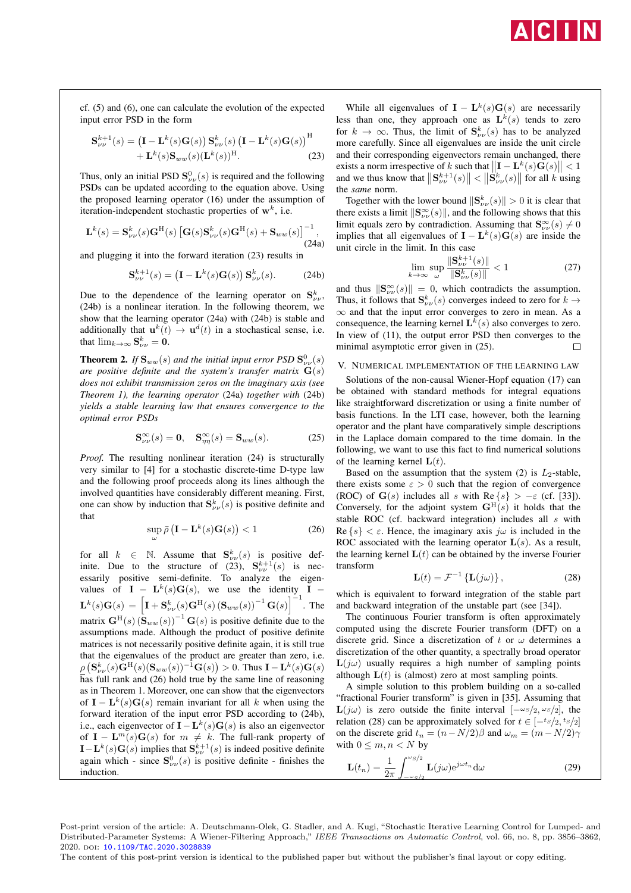

cf. (5) and (6), one can calculate the evolution of the expected input error PSD in the form

$$
\mathbf{S}_{\nu\nu}^{k+1}(s) = \left(\mathbf{I} - \mathbf{L}^k(s)\mathbf{G}(s)\right)\mathbf{S}_{\nu\nu}^k(s)\left(\mathbf{I} - \mathbf{L}^k(s)\mathbf{G}(s)\right)^{\mathrm{H}} + \mathbf{L}^k(s)\mathbf{S}_{ww}(s)(\mathbf{L}^k(s))^{\mathrm{H}}.
$$
\n(23)

Thus, only an initial PSD  $S^0_{\nu\nu}(s)$  is required and the following PSDs can be updated according to the equation above. Using the proposed learning operator (16) under the assumption of iteration-independent stochastic properties of  $w<sup>k</sup>$ , i.e.

$$
\mathbf{L}^{k}(s) = \mathbf{S}_{\nu\nu}^{k}(s)\mathbf{G}^{\mathrm{H}}(s) \left[\mathbf{G}(s)\mathbf{S}_{\nu\nu}^{k}(s)\mathbf{G}^{\mathrm{H}}(s) + \mathbf{S}_{ww}(s)\right]^{-1},
$$
\n(24a)

and plugging it into the forward iteration (23) results in

$$
\mathbf{S}_{\nu\nu}^{k+1}(s) = \left(\mathbf{I} - \mathbf{L}^k(s)\mathbf{G}(s)\right)\mathbf{S}_{\nu\nu}^k(s). \tag{24b}
$$

Due to the dependence of the learning operator on  $S_{\nu\nu}^k$ , (24b) is a nonlinear iteration. In the following theorem, we show that the learning operator (24a) with (24b) is stable and additionally that  $\mathbf{u}^{k}(t) \rightarrow \mathbf{u}^{d}(t)$  in a stochastical sense, i.e. that  $\lim_{k\to\infty} \mathbf{S}_{\nu\nu}^k = \mathbf{0}.$ 

**Theorem 2.** If  $\mathbf{S}_{ww}(s)$  and the initial input error PSD  $\mathbf{S}_{\nu\nu}^{0}(s)$ *are positive definite and the system's transfer matrix* G(s) *does not exhibit transmission zeros on the imaginary axis (see Theorem 1), the learning operator* (24a) *together with* (24b) *yields a stable learning law that ensures convergence to the optimal error PSDs*

$$
\mathbf{S}_{\nu\nu}^{\infty}(s) = \mathbf{0}, \quad \mathbf{S}_{\eta\eta}^{\infty}(s) = \mathbf{S}_{ww}(s). \tag{25}
$$

*Proof.* The resulting nonlinear iteration (24) is structurally very similar to [4] for a stochastic discrete-time D-type law and the following proof proceeds along its lines although the involved quantities have considerably different meaning. First, one can show by induction that  $S_{\nu\nu}^{k}(s)$  is positive definite and that

$$
\sup_{\omega} \bar{\rho} \left( \mathbf{I} - \mathbf{L}^k(s) \mathbf{G}(s) \right) < 1 \tag{26}
$$

for all  $k \in \mathbb{N}$ . Assume that  $\mathbf{S}_{\nu}^{k}(s)$  is positive definite. Due to the structure of (23),  $S_{\nu\nu}^{k+1}(s)$  is necessarily positive semi-definite. To analyze the eigenvalues of  $I - L^k(s)G(s)$ , we use the identity  $I {\bf L}^{k}(s){\bf G}(s) = \left[{\bf I}+{\bf S}^{k}_{\nu\nu}(s){\bf G}^{\rm H}(s)\left({\bf S}_{ww}(s)\right)^{-1}{\bf G}(s)\right]^{-1}$ . The matrix  $\mathbf{G}^{\mathrm{H}}(s)$   $(\mathbf{S}_{ww}(s))^{-1}$   $\mathbf{G}(s)$  is positive definite due to the assumptions made. Although the product of positive definite matrices is not necessarily positive definite again, it is still true that the eigenvalues of the product are greater than zero, i.e.  $\underline{\rho}\left(\mathbf{S}_{\nu\nu}^{k}(s)\mathbf{G}^{\mathrm{H}}(s)(\mathbf{S}_{ww}(s))^{-1}\mathbf{G}(s)\right) > 0.$  Thus  $\mathbf{I} - \mathbf{L}^{k}(s)\mathbf{G}(s)$ has full rank and (26) hold true by the same line of reasoning as in Theorem 1. Moreover, one can show that the eigenvectors of  $\mathbf{I} - \mathbf{L}^k(s)\mathbf{G}(s)$  remain invariant for all k when using the forward iteration of the input error PSD according to (24b), i.e., each eigenvector of **I** –  $\mathbf{L}^k(s)\mathbf{G}(s)$  is also an eigenvector of  $I - L^m(s)G(s)$  for  $m \neq k$ . The full-rank property of  $\mathbf{I} - \mathbf{L}^k(s) \mathbf{G}(s)$  implies that  $\mathbf{S}_{\nu\nu}^{k+1}(s)$  is indeed positive definite again which - since  $S_{\nu\nu}^{0}(s)$  is positive definite - finishes the induction.

While all eigenvalues of  $\mathbf{I} - \mathbf{L}^k(s) \mathbf{G}(s)$  are necessarily less than one, they approach one as  $\mathbf{L}^k(s)$  tends to zero for  $k \to \infty$ . Thus, the limit of  $S_{\nu\nu}^k(s)$  has to be analyzed more carefully. Since all eigenvalues are inside the unit circle and their corresponding eigenvectors remain unchanged, there exists a norm irrespective of k such that  $\left\| \mathbf{I} - \mathbf{L}^k(s) \mathbf{G}(s) \right\| < 1$ and we thus know that  $\|\mathbf{S}_{\nu}^{k+1}(s)\| < \|\mathbf{S}_{\nu}^{k}(s)\|$  for all k using the *same* norm.

Together with the lower bound  $\|\mathbf{S}_{\nu\nu}^{k}(s)\| > 0$  it is clear that there exists a limit  $\|\mathbf{S}_{\nu\nu}^{\infty}(s)\|$ , and the following shows that this limit equals zero by contradiction. Assuming that  $\mathbf{S}_{\nu\nu}^{\infty}(s) \neq 0$ implies that all eigenvalues of  $\mathbf{I} - \mathbf{L}^k(s) \mathbf{G}(s)$  are inside the unit circle in the limit. In this case

$$
\lim_{k \to \infty} \sup_{\omega} \frac{\|\mathbf{S}_{\nu\nu}^{k+1}(s)\|}{\|\mathbf{S}_{\nu\nu}^{k}(s)\|} < 1 \tag{27}
$$

and thus  $\|\mathbf{S}_{\nu\nu}^{\infty}(s)\| = 0$ , which contradicts the assumption. Thus, it follows that  $S_{\nu\nu}^k(s)$  converges indeed to zero for  $k \to$  $\infty$  and that the input error converges to zero in mean. As a consequence, the learning kernel  $\mathbf{L}^k(s)$  also converges to zero. In view of (11), the output error PSD then converges to the minimal asymptotic error given in (25).  $\Box$ 

#### V. NUMERICAL IMPLEMENTATION OF THE LEARNING LAW

Solutions of the non-causal Wiener-Hopf equation (17) can be obtained with standard methods for integral equations like straightforward discretization or using a finite number of basis functions. In the LTI case, however, both the learning operator and the plant have comparatively simple descriptions in the Laplace domain compared to the time domain. In the following, we want to use this fact to find numerical solutions of the learning kernel  $L(t)$ .

Based on the assumption that the system (2) is  $L_2$ -stable, there exists some  $\varepsilon > 0$  such that the region of convergence (ROC) of  $G(s)$  includes all s with  $\text{Re}\{s\} > -\varepsilon$  (cf. [33]). Conversely, for the adjoint system  $G^H(s)$  it holds that the stable ROC (cf. backward integration) includes all s with Re  $\{s\} < \varepsilon$ . Hence, the imaginary axis  $j\omega$  is included in the ROC associated with the learning operator  $L(s)$ . As a result, the learning kernel  $L(t)$  can be obtained by the inverse Fourier transform

$$
\mathbf{L}(t) = \mathcal{F}^{-1} \left\{ \mathbf{L}(j\omega) \right\},\tag{28}
$$

which is equivalent to forward integration of the stable part and backward integration of the unstable part (see [34]).

The continuous Fourier transform is often approximately computed using the discrete Fourier transform (DFT) on a discrete grid. Since a discretization of t or  $\omega$  determines a discretization of the other quantity, a spectrally broad operator  $\mathbf{L}(i\omega)$  usually requires a high number of sampling points although  $L(t)$  is (almost) zero at most sampling points.

A simple solution to this problem building on a so-called "fractional Fourier transform" is given in [35]. Assuming that  $\mathbf{L}(j\omega)$  is zero outside the finite interval  $[-\omega s/2, \omega s/2]$ , the relation (28) can be approximately solved for  $t \in [-ts/2, ts/2]$ on the discrete grid  $t_n = (n - N/2)\beta$  and  $\omega_m = (m - N/2)\gamma$ with  $0 \leq m, n < N$  by

$$
\mathbf{L}(t_n) = \frac{1}{2\pi} \int_{-\omega \varsigma/n}^{\omega s/2} \mathbf{L}(j\omega) e^{j\omega t_n} d\omega
$$
 (29)

Post-print version of the article: A. Deutschmann-Olek, G. Stadler, and A. Kugi, "Stochastic Iterative Learning Control for Lumped- and Distributed-Parameter Systems: A Wiener-Filtering Approach," IEEE Transactions on Automatic Control, vol. 66, no. 8, pp. 3856–3862, 2020. doi: [10.1109/TAC.2020.3028839](https://doi.org/10.1109/TAC.2020.3028839)

The content of this post-print version is identical to the published paper but without the publisher's final layout or copy editing.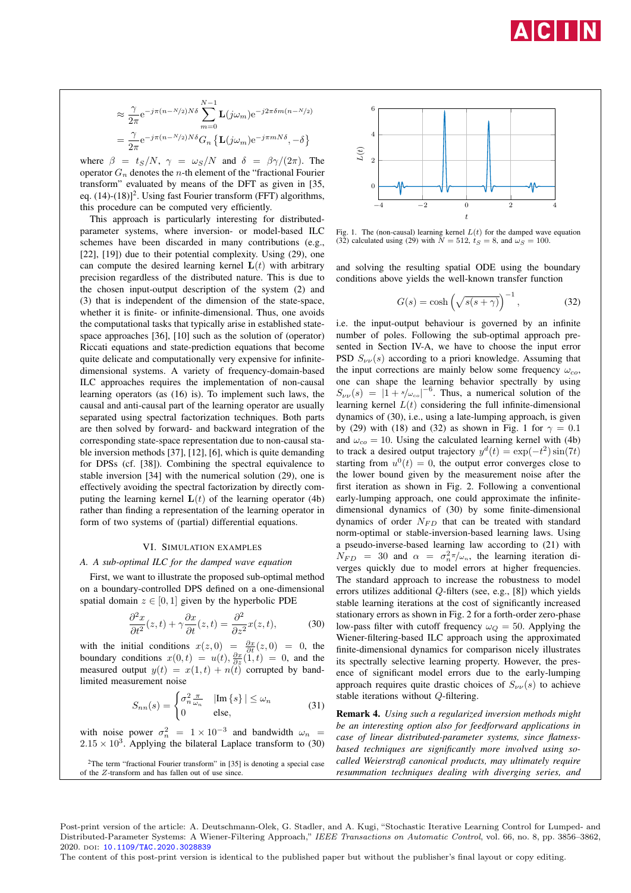

$$
\approx \frac{\gamma}{2\pi} e^{-j\pi(n-N/2)N\delta} \sum_{m=0}^{N-1} \mathbf{L}(j\omega_m) e^{-j2\pi\delta m(n-N/2)}
$$

$$
= \frac{\gamma}{2\pi} e^{-j\pi(n-N/2)N\delta} G_n \left\{ \mathbf{L}(j\omega_m) e^{-j\pi mN\delta}, -\delta \right\}
$$

where  $\beta = t_S/N$ ,  $\gamma = \omega_S/N$  and  $\delta = \beta \gamma/(2\pi)$ . The operator  $G_n$  denotes the *n*-th element of the "fractional Fourier transform" evaluated by means of the DFT as given in [35, eq. (14)-(18)]<sup>2</sup>. Using fast Fourier transform (FFT) algorithms, this procedure can be computed very efficiently.

This approach is particularly interesting for distributedparameter systems, where inversion- or model-based ILC schemes have been discarded in many contributions (e.g., [22], [19]) due to their potential complexity. Using (29), one can compute the desired learning kernel  $L(t)$  with arbitrary precision regardless of the distributed nature. This is due to the chosen input-output description of the system (2) and (3) that is independent of the dimension of the state-space, whether it is finite- or infinite-dimensional. Thus, one avoids the computational tasks that typically arise in established statespace approaches [36], [10] such as the solution of (operator) Riccati equations and state-prediction equations that become quite delicate and computationally very expensive for infinitedimensional systems. A variety of frequency-domain-based ILC approaches requires the implementation of non-causal learning operators (as (16) is). To implement such laws, the causal and anti-causal part of the learning operator are usually separated using spectral factorization techniques. Both parts are then solved by forward- and backward integration of the corresponding state-space representation due to non-causal stable inversion methods [37], [12], [6], which is quite demanding for DPSs (cf. [38]). Combining the spectral equivalence to stable inversion [34] with the numerical solution (29), one is effectively avoiding the spectral factorization by directly computing the learning kernel  $L(t)$  of the learning operator (4b) rather than finding a representation of the learning operator in form of two systems of (partial) differential equations.

#### VI. SIMULATION EXAMPLES

#### *A. A sub-optimal ILC for the damped wave equation*

First, we want to illustrate the proposed sub-optimal method on a boundary-controlled DPS defined on a one-dimensional spatial domain  $z \in [0, 1]$  given by the hyperbolic PDE

$$
\frac{\partial^2 x}{\partial t^2}(z,t) + \gamma \frac{\partial x}{\partial t}(z,t) = \frac{\partial^2}{\partial z^2}x(z,t),
$$
 (30)

with the initial conditions  $x(z, 0) = \frac{\partial x}{\partial t}(z, 0) = 0$ , the boundary conditions  $x(0,t) = u(t), \frac{\partial x}{\partial z}(\tilde{1}, t) = 0$ , and the measured output  $y(t) = x(1, t) + n(t)$  corrupted by bandlimited measurement noise

$$
S_{nn}(s) = \begin{cases} \sigma_n^2 \frac{\pi}{\omega_n} & |\text{Im}\{s\}| \le \omega_n \\ 0 & \text{else,} \end{cases}
$$
 (31)

with noise power  $\sigma_n^2 = 1 \times 10^{-3}$  and bandwidth  $\omega_n =$  $2.15 \times 10^3$ . Applying the bilateral Laplace transform to (30)

<sup>2</sup>The term "fractional Fourier transform" in [35] is denoting a special case of the Z-transform and has fallen out of use since.



Fig. 1. The (non-causal) learning kernel  $L(t)$  for the damped wave equation (32) calculated using (29) with  $\overline{N} = 512$ ,  $\overline{t_S} = 8$ , and  $\omega_S = 100$ .

and solving the resulting spatial ODE using the boundary conditions above yields the well-known transfer function

$$
G(s) = \cosh\left(\sqrt{s(s+\gamma)}\right)^{-1},\tag{32}
$$

i.e. the input-output behaviour is governed by an infinite number of poles. Following the sub-optimal approach presented in Section IV-A, we have to choose the input error PSD  $S_{\nu\nu}(s)$  according to a priori knowledge. Assuming that the input corrections are mainly below some frequency  $\omega_{co}$ , one can shape the learning behavior spectrally by using  $S_{\nu\nu}(s) = |1 + s/\omega_{co}|^{-6}$ . Thus, a numerical solution of the learning kernel  $L(t)$  considering the full infinite-dimensional dynamics of (30), i.e., using a late-lumping approach, is given by (29) with (18) and (32) as shown in Fig. 1 for  $\gamma = 0.1$ and  $\omega_{co} = 10$ . Using the calculated learning kernel with (4b) to track a desired output trajectory  $y^d(t) = \exp(-t^2) \sin(7t)$ starting from  $u^0(t) = 0$ , the output error converges close to the lower bound given by the measurement noise after the first iteration as shown in Fig. 2. Following a conventional early-lumping approach, one could approximate the infinitedimensional dynamics of (30) by some finite-dimensional dynamics of order  $N_{FD}$  that can be treated with standard norm-optimal or stable-inversion-based learning laws. Using a pseudo-inverse-based learning law according to (21) with  $N_{FD}$  = 30 and  $\alpha = \sigma_n^2 \pi / \omega_n$ , the learning iteration diverges quickly due to model errors at higher frequencies. The standard approach to increase the robustness to model errors utilizes additional Q-filters (see, e.g., [8]) which yields stable learning iterations at the cost of significantly increased stationary errors as shown in Fig. 2 for a forth-order zero-phase low-pass filter with cutoff frequency  $\omega_Q = 50$ . Applying the Wiener-filtering-based ILC approach using the approximated finite-dimensional dynamics for comparison nicely illustrates its spectrally selective learning property. However, the presence of significant model errors due to the early-lumping approach requires quite drastic choices of  $S_{\nu\nu}(s)$  to achieve stable iterations without Q-filtering.

Remark 4. *Using such a regularized inversion methods might be an interesting option also for feedforward applications in case of linear distributed-parameter systems, since flatnessbased techniques are significantly more involved using socalled Weierstraß canonical products, may ultimately require resummation techniques dealing with diverging series, and*

Post-print version of the article: A. Deutschmann-Olek, G. Stadler, and A. Kugi, "Stochastic Iterative Learning Control for Lumped- and Distributed-Parameter Systems: A Wiener-Filtering Approach," IEEE Transactions on Automatic Control, vol. 66, no. 8, pp. 3856–3862, 2020. doi: [10.1109/TAC.2020.3028839](https://doi.org/10.1109/TAC.2020.3028839)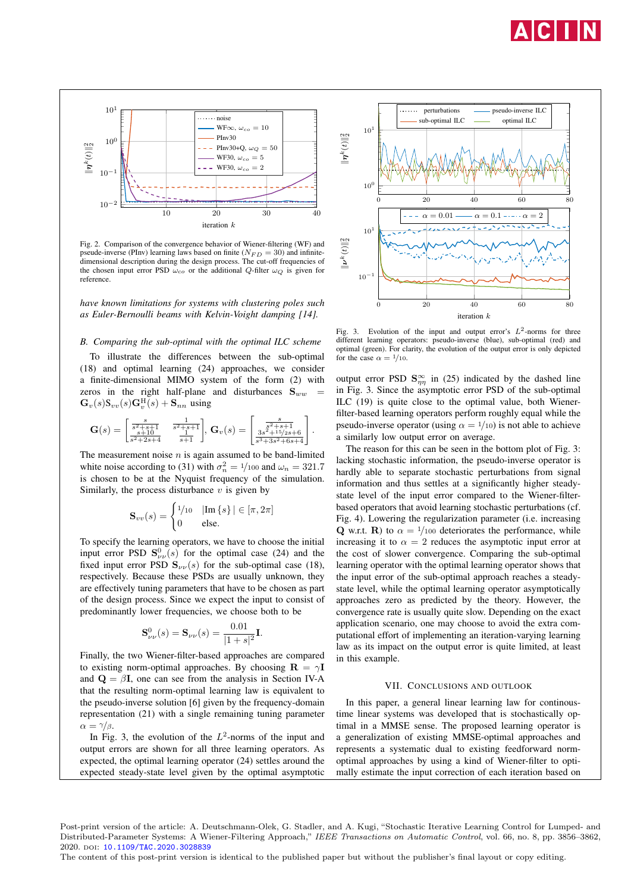



Fig. 2. Comparison of the convergence behavior of Wiener-filtering (WF) and pseude-inverse (PInv) learning laws based on finite ( $N_{FD} = 30$ ) and infinitedimensional description during the design process. The cut-off frequencies of the chosen input error PSD  $\omega_{co}$  or the additional Q-filter  $\omega_Q$  is given for reference.

*have known limitations for systems with clustering poles such as Euler-Bernoulli beams with Kelvin-Voight damping [14].*

#### *B. Comparing the sub-optimal with the optimal ILC scheme*

To illustrate the differences between the sub-optimal (18) and optimal learning (24) approaches, we consider a finite-dimensional MIMO system of the form (2) with zeros in the right half-plane and disturbances  $S_{ww}$  $\mathbf{G}_{v}(s)\mathbf{S}_{vv}(s)\mathbf{G}_{v}^{\mathrm{H}}(s)+\mathbf{S}_{nn}$  using

$$
\mathbf{G}(s) = \begin{bmatrix} \frac{s}{s^2 + s + 1} & \frac{1}{s^2 + s + 1} \\ \frac{s + 10}{s^2 + 2s + 4} & \frac{1}{s + 1} \end{bmatrix}, \, \mathbf{G}_v(s) = \begin{bmatrix} \frac{s}{s^2 + s + 1} \\ \frac{3s^2 + 15/2s + 6}{s^3 + 3s^2 + 6s + 4} \end{bmatrix}.
$$

The measurement noise  $n$  is again assumed to be band-limited white noise according to (31) with  $\sigma_n^2 = 1/100$  and  $\omega_n = 321.7$ is chosen to be at the Nyquist frequency of the simulation. Similarly, the process disturbance  $v$  is given by

$$
\mathbf{S}_{vv}(s) = \begin{cases} \frac{1}{10} & |\text{Im}\{s\}| \in [\pi, 2\pi] \\ 0 & \text{else.} \end{cases}
$$

To specify the learning operators, we have to choose the initial input error PSD  $S^0_{\nu\nu}(s)$  for the optimal case (24) and the fixed input error PSD  $S_{\nu\nu}(s)$  for the sub-optimal case (18), respectively. Because these PSDs are usually unknown, they are effectively tuning parameters that have to be chosen as part of the design process. Since we expect the input to consist of predominantly lower frequencies, we choose both to be

$$
\mathbf{S}_{\nu\nu}^{0}(s) = \mathbf{S}_{\nu\nu}(s) = \frac{0.01}{|1+s|^2} \mathbf{I}.
$$

Finally, the two Wiener-filter-based approaches are compared to existing norm-optimal approaches. By choosing  $\mathbf{R} = \gamma \mathbf{I}$ and  $\mathbf{Q} = \beta \mathbf{I}$ , one can see from the analysis in Section IV-A that the resulting norm-optimal learning law is equivalent to the pseudo-inverse solution [6] given by the frequency-domain representation (21) with a single remaining tuning parameter  $\alpha = \gamma/\beta$ .

In Fig. 3, the evolution of the  $L^2$ -norms of the input and output errors are shown for all three learning operators. As expected, the optimal learning operator (24) settles around the expected steady-state level given by the optimal asymptotic



Fig. 3. Evolution of the input and output error's  $L^2$ -norms for three different learning operators: pseudo-inverse (blue), sub-optimal (red) and optimal (green). For clarity, the evolution of the output error is only depicted for the case  $\alpha = \frac{1}{10}$ .

output error PSD  $S_{\eta\eta}^{\infty}$  in (25) indicated by the dashed line in Fig. 3. Since the asymptotic error PSD of the sub-optimal ILC (19) is quite close to the optimal value, both Wienerfilter-based learning operators perform roughly equal while the pseudo-inverse operator (using  $\alpha = \frac{1}{10}$ ) is not able to achieve a similarly low output error on average.

The reason for this can be seen in the bottom plot of Fig. 3: lacking stochastic information, the pseudo-inverse operator is hardly able to separate stochastic perturbations from signal information and thus settles at a significantly higher steadystate level of the input error compared to the Wiener-filterbased operators that avoid learning stochastic perturbations (cf. Fig. 4). Lowering the regularization parameter (i.e. increasing Q w.r.t. R) to  $\alpha = \frac{1}{100}$  deteriorates the performance, while increasing it to  $\alpha = 2$  reduces the asymptotic input error at the cost of slower convergence. Comparing the sub-optimal learning operator with the optimal learning operator shows that the input error of the sub-optimal approach reaches a steadystate level, while the optimal learning operator asymptotically approaches zero as predicted by the theory. However, the convergence rate is usually quite slow. Depending on the exact application scenario, one may choose to avoid the extra computational effort of implementing an iteration-varying learning law as its impact on the output error is quite limited, at least in this example.

#### VII. CONCLUSIONS AND OUTLOOK

In this paper, a general linear learning law for continoustime linear systems was developed that is stochastically optimal in a MMSE sense. The proposed learning operator is a generalization of existing MMSE-optimal approaches and represents a systematic dual to existing feedforward normoptimal approaches by using a kind of Wiener-filter to optimally estimate the input correction of each iteration based on

Post-print version of the article: A. Deutschmann-Olek, G. Stadler, and A. Kugi, "Stochastic Iterative Learning Control for Lumped- and Distributed-Parameter Systems: A Wiener-Filtering Approach," IEEE Transactions on Automatic Control, vol. 66, no. 8, pp. 3856–3862, 2020. doi: [10.1109/TAC.2020.3028839](https://doi.org/10.1109/TAC.2020.3028839)

The content of this post-print version is identical to the published paper but without the publisher's final layout or copy editing.